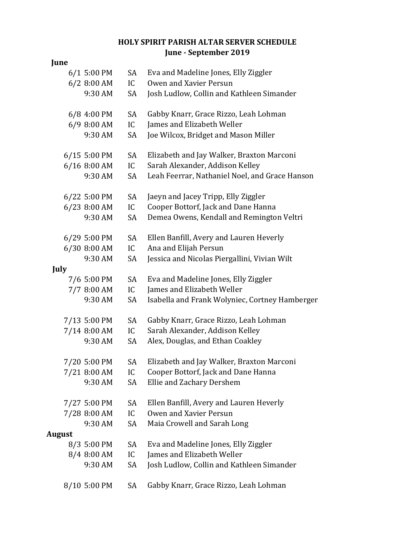## **HOLY SPIRIT PARISH ALTAR SERVER SCHEDULE June - September 2019**

| June          |               |    |                                                |
|---------------|---------------|----|------------------------------------------------|
|               | $6/1$ 5:00 PM | SA | Eva and Madeline Jones, Elly Ziggler           |
|               | 6/2 8:00 AM   | IC | Owen and Xavier Persun                         |
|               | 9:30 AM       | SA | Josh Ludlow, Collin and Kathleen Simander      |
|               | 6/8 4:00 PM   | SA | Gabby Knarr, Grace Rizzo, Leah Lohman          |
|               | 6/9 8:00 AM   | IC | James and Elizabeth Weller                     |
|               | 9:30 AM       | SA | Joe Wilcox, Bridget and Mason Miller           |
|               | 6/15 5:00 PM  | SA | Elizabeth and Jay Walker, Braxton Marconi      |
|               | 6/16 8:00 AM  | IC | Sarah Alexander, Addison Kelley                |
|               | 9:30 AM       | SA | Leah Feerrar, Nathaniel Noel, and Grace Hanson |
|               | 6/22 5:00 PM  | SA | Jaeyn and Jacey Tripp, Elly Ziggler            |
|               | 6/23 8:00 AM  | IC | Cooper Bottorf, Jack and Dane Hanna            |
|               | 9:30 AM       | SA | Demea Owens, Kendall and Remington Veltri      |
|               | 6/29 5:00 PM  | SA | Ellen Banfill, Avery and Lauren Heverly        |
|               | 6/30 8:00 AM  | IC | Ana and Elijah Persun                          |
|               | 9:30 AM       | SA | Jessica and Nicolas Piergallini, Vivian Wilt   |
| July          |               |    |                                                |
|               | 7/6 5:00 PM   | SA | Eva and Madeline Jones, Elly Ziggler           |
|               | 7/7 8:00 AM   | IC | James and Elizabeth Weller                     |
|               | 9:30 AM       | SA | Isabella and Frank Wolyniec, Cortney Hamberger |
|               | 7/13 5:00 PM  | SA | Gabby Knarr, Grace Rizzo, Leah Lohman          |
|               | 7/14 8:00 AM  | IC | Sarah Alexander, Addison Kelley                |
|               | 9:30 AM       | SA | Alex, Douglas, and Ethan Coakley               |
|               | 7/20 5:00 PM  |    | SA Elizabeth and Jay Walker, Braxton Marconi   |
|               | 7/21 8:00 AM  | IC | Cooper Bottorf, Jack and Dane Hanna            |
|               | 9:30 AM       | SA | Ellie and Zachary Dershem                      |
|               | 7/27 5:00 PM  | SA | Ellen Banfill, Avery and Lauren Heverly        |
|               | 7/28 8:00 AM  | IC | Owen and Xavier Persun                         |
|               | 9:30 AM       | SA | Maia Crowell and Sarah Long                    |
| <b>August</b> |               |    |                                                |
|               | 8/3 5:00 PM   | SA | Eva and Madeline Jones, Elly Ziggler           |
|               | 8/4 8:00 AM   | IC | James and Elizabeth Weller                     |
|               | 9:30 AM       | SA | Josh Ludlow, Collin and Kathleen Simander      |
|               | 8/10 5:00 PM  | SA | Gabby Knarr, Grace Rizzo, Leah Lohman          |